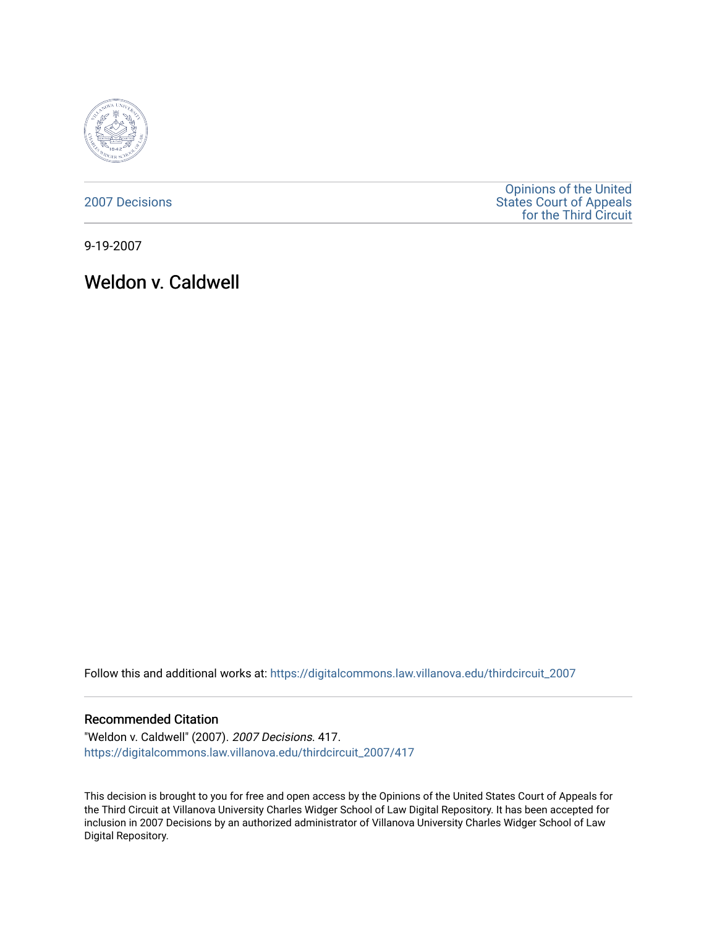

[2007 Decisions](https://digitalcommons.law.villanova.edu/thirdcircuit_2007)

[Opinions of the United](https://digitalcommons.law.villanova.edu/thirdcircuit)  [States Court of Appeals](https://digitalcommons.law.villanova.edu/thirdcircuit)  [for the Third Circuit](https://digitalcommons.law.villanova.edu/thirdcircuit) 

9-19-2007

Weldon v. Caldwell

Follow this and additional works at: [https://digitalcommons.law.villanova.edu/thirdcircuit\\_2007](https://digitalcommons.law.villanova.edu/thirdcircuit_2007?utm_source=digitalcommons.law.villanova.edu%2Fthirdcircuit_2007%2F417&utm_medium=PDF&utm_campaign=PDFCoverPages) 

#### Recommended Citation

"Weldon v. Caldwell" (2007). 2007 Decisions. 417. [https://digitalcommons.law.villanova.edu/thirdcircuit\\_2007/417](https://digitalcommons.law.villanova.edu/thirdcircuit_2007/417?utm_source=digitalcommons.law.villanova.edu%2Fthirdcircuit_2007%2F417&utm_medium=PDF&utm_campaign=PDFCoverPages)

This decision is brought to you for free and open access by the Opinions of the United States Court of Appeals for the Third Circuit at Villanova University Charles Widger School of Law Digital Repository. It has been accepted for inclusion in 2007 Decisions by an authorized administrator of Villanova University Charles Widger School of Law Digital Repository.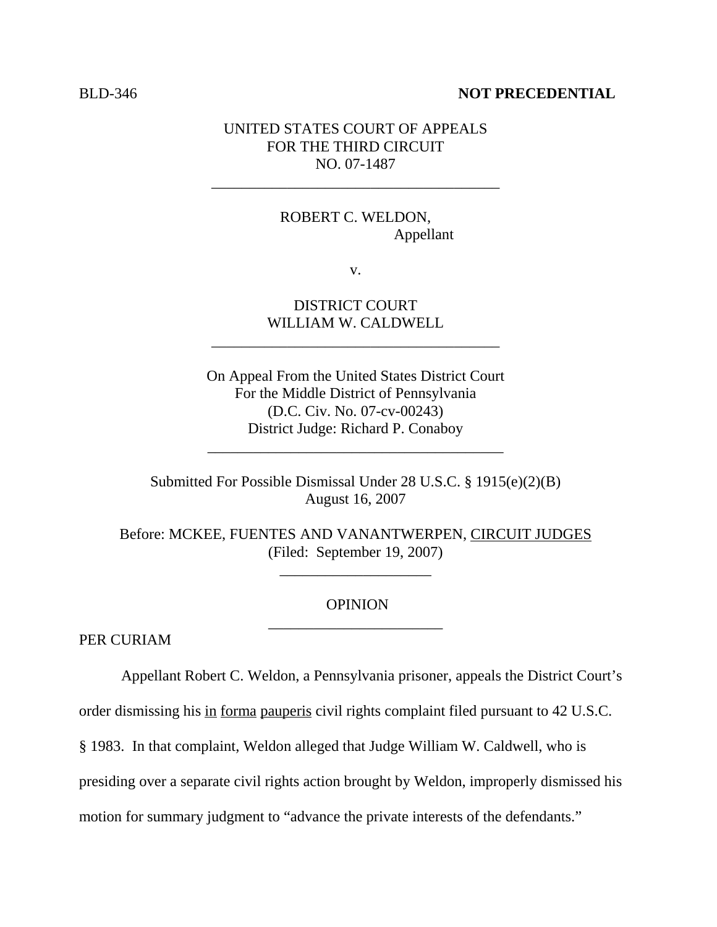#### BLD-346 **NOT PRECEDENTIAL**

### UNITED STATES COURT OF APPEALS FOR THE THIRD CIRCUIT NO. 07-1487

\_\_\_\_\_\_\_\_\_\_\_\_\_\_\_\_\_\_\_\_\_\_\_\_\_\_\_\_\_\_\_\_\_\_\_\_\_\_

# ROBERT C. WELDON, Appellant

v.

# DISTRICT COURT WILLIAM W. CALDWELL

\_\_\_\_\_\_\_\_\_\_\_\_\_\_\_\_\_\_\_\_\_\_\_\_\_\_\_\_\_\_\_\_\_\_\_\_\_\_

On Appeal From the United States District Court For the Middle District of Pennsylvania (D.C. Civ. No. 07-cv-00243) District Judge: Richard P. Conaboy

\_\_\_\_\_\_\_\_\_\_\_\_\_\_\_\_\_\_\_\_\_\_\_\_\_\_\_\_\_\_\_\_\_\_\_\_\_\_\_

Submitted For Possible Dismissal Under 28 U.S.C. § 1915(e)(2)(B) August 16, 2007

Before: MCKEE, FUENTES AND VANANTWERPEN, CIRCUIT JUDGES (Filed: September 19, 2007)

\_\_\_\_\_\_\_\_\_\_\_\_\_\_\_\_\_\_\_\_

#### **OPINION** \_\_\_\_\_\_\_\_\_\_\_\_\_\_\_\_\_\_\_\_\_\_\_

PER CURIAM

Appellant Robert C. Weldon, a Pennsylvania prisoner, appeals the District Court's

order dismissing his in forma pauperis civil rights complaint filed pursuant to 42 U.S.C.

§ 1983. In that complaint, Weldon alleged that Judge William W. Caldwell, who is

presiding over a separate civil rights action brought by Weldon, improperly dismissed his

motion for summary judgment to "advance the private interests of the defendants."